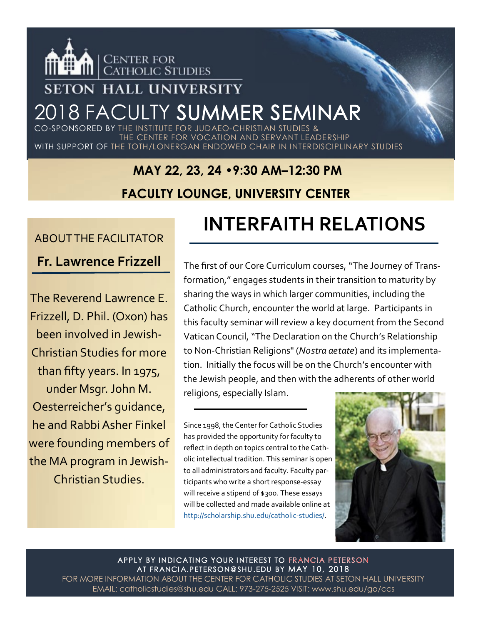

### **SETON HALL UNIVERSITY**

# 2018 FACULTY SUMMER SEMINAR

CO-SPONSORED BY THE INSTITUTE FOR JUDAEO-CHRISTIAN STU THE CENTER FOR VOCATION AND SERVANT LEADERSHIP WITH SUPPORT OF THE TOTH/LONERGAN ENDOWED CHAIR IN INTERDISCIPLINARY STUDIES

# **MAY 22, 23, 24 •9:30 AM–12:30 PM**

#### **FACULTY LOUNGE, UNIVERSITY CENTER**

#### ABOUT THE FACILITATOR

**Fr. Lawrence Frizzell**

The Reverend Lawrence E. Frizzell, D. Phil. (Oxon) has been involved in Jewish-Christian Studies for more than fifty years. In 1975, under Msgr. John M. Oesterreicher's guidance, he and Rabbi Asher Finkel were founding members of the MA program in Jewish-Christian Studies.

## **INTERFAITH RELATIONS**

The first of our Core Curriculum courses, "The Journey of Transformation," engages students in their transition to maturity by sharing the ways in which larger communities, including the Catholic Church, encounter the world at large. Participants in this faculty seminar will review a key document from the Second Vatican Council, "The Declaration on the Church's Relationship to Non-Christian Religions" (*Nostra aetate*) and its implementation. Initially the focus will be on the Church's encounter with the Jewish people, and then with the adherents of other world religions, especially Islam.

Since 1998, the Center for Catholic Studies has provided the opportunity for faculty to reflect in depth on topics central to the Catholic intellectual tradition. This seminar is open to all administrators and faculty. Faculty participants who write a short response-essay will receive a stipend of \$300. These essays will be collected and made available online at http://scholarship.shu.edu/catholic-studies/.



APPLY BY INDICATING YOUR INTEREST TO FRANCIA PETERSON AT FRANCIA.PETERSON@SHU.EDU BY MAY 10, 2018 FOR MORE INFORMATION ABOUT THE CENTER FOR CATHOLIC STUDIES AT SETON HALL UNIVERSITY EMAIL: catholicstudies@shu.edu CALL: 973-275-2525 VISIT: www.shu.edu/go/ccs